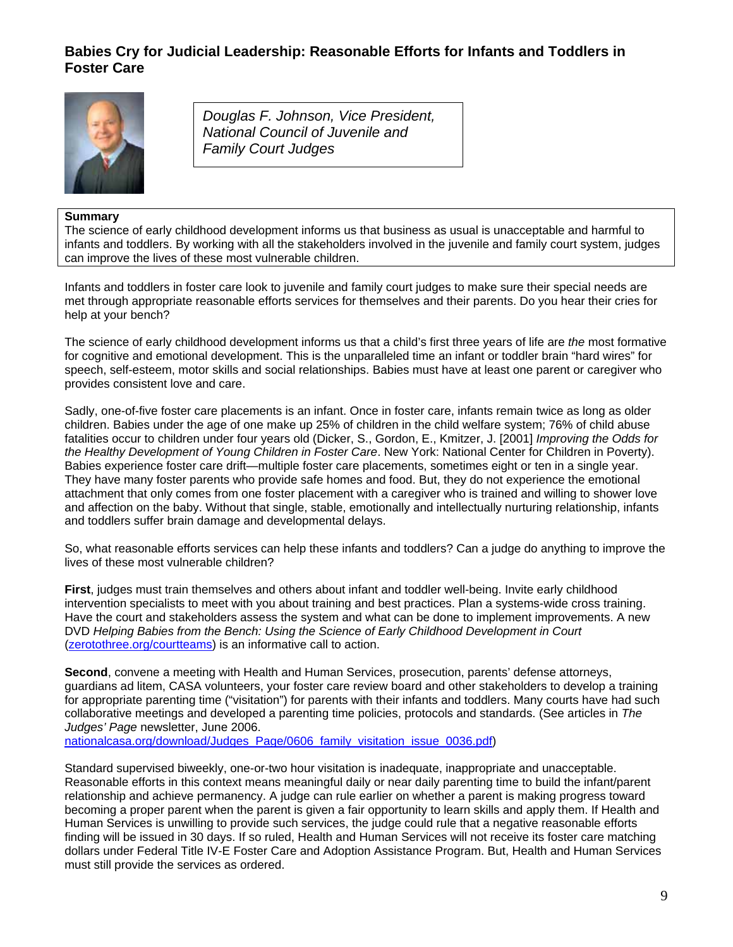## **Babies Cry for Judicial Leadership: Reasonable Efforts for Infants and Toddlers in Foster Care**



*Douglas F. Johnson, Vice President, National Council of Juvenile and Family Court Judges* 

## **Summary**

The science of early childhood development informs us that business as usual is unacceptable and harmful to infants and toddlers. By working with all the stakeholders involved in the juvenile and family court system, judges can improve the lives of these most vulnerable children.

Infants and toddlers in foster care look to juvenile and family court judges to make sure their special needs are met through appropriate reasonable efforts services for themselves and their parents. Do you hear their cries for help at your bench?

The science of early childhood development informs us that a child's first three years of life are *the* most formative for cognitive and emotional development. This is the unparalleled time an infant or toddler brain "hard wires" for speech, self-esteem, motor skills and social relationships. Babies must have at least one parent or caregiver who provides consistent love and care.

Sadly, one-of-five foster care placements is an infant. Once in foster care, infants remain twice as long as older children. Babies under the age of one make up 25% of children in the child welfare system; 76% of child abuse fatalities occur to children under four years old (Dicker, S., Gordon, E., Kmitzer, J. [2001] *Improving the Odds for the Healthy Development of Young Children in Foster Care*. New York: National Center for Children in Poverty). Babies experience foster care drift—multiple foster care placements, sometimes eight or ten in a single year. They have many foster parents who provide safe homes and food. But, they do not experience the emotional attachment that only comes from one foster placement with a caregiver who is trained and willing to shower love and affection on the baby. Without that single, stable, emotionally and intellectually nurturing relationship, infants and toddlers suffer brain damage and developmental delays.

So, what reasonable efforts services can help these infants and toddlers? Can a judge do anything to improve the lives of these most vulnerable children?

**First**, judges must train themselves and others about infant and toddler well-being. Invite early childhood intervention specialists to meet with you about training and best practices. Plan a systems-wide cross training. Have the court and stakeholders assess the system and what can be done to implement improvements. A new DVD *Helping Babies from the Bench: Using the Science of Early Childhood Development in Court*  [\(zerotothree.org/courtteams](http://www.zerotothree.org/courtteams)) is an informative call to action.

**Second**, convene a meeting with Health and Human Services, prosecution, parents' defense attorneys, guardians ad litem, CASA volunteers, your foster care review board and other stakeholders to develop a training for appropriate parenting time ("visitation") for parents with their infants and toddlers. Many courts have had such collaborative meetings and developed a parenting time policies, protocols and standards. (See articles in *The Judges' Page* newsletter, June 2006.

[nationalcasa.org/download/Judges\\_Page/0606\\_family\\_visitation\\_issue\\_0036.pdf](http://www.nationalcasa.org/download/Judges_Page/0606_family_visitation_issue_0036.pdf))

Standard supervised biweekly, one-or-two hour visitation is inadequate, inappropriate and unacceptable. Reasonable efforts in this context means meaningful daily or near daily parenting time to build the infant/parent relationship and achieve permanency. A judge can rule earlier on whether a parent is making progress toward becoming a proper parent when the parent is given a fair opportunity to learn skills and apply them. If Health and Human Services is unwilling to provide such services, the judge could rule that a negative reasonable efforts finding will be issued in 30 days. If so ruled, Health and Human Services will not receive its foster care matching dollars under Federal Title IV-E Foster Care and Adoption Assistance Program. But, Health and Human Services must still provide the services as ordered.